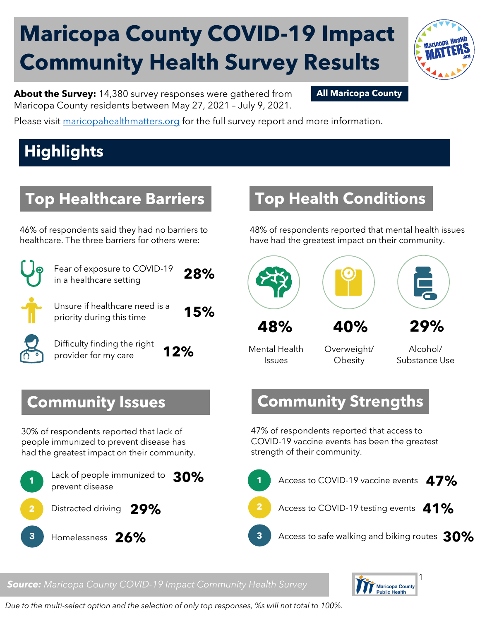# **Maricopa County COVID-19 Impact Community Health Survey Results**



**About the Survey:** 14,380 survey responses were gathered from **All Maricopa County**  Maricopa County residents between May 27, 2021 – July 9, 2021.

Please visit [maricopahealthmatters.org](https://www.maricopa.gov/5100/Health-Data-Maricopa-Health-Matters) for the full survey report and more information.

## **Highlights**

### **Top Healthcare Barriers**

46% of respondents said they had no barriers to healthcare. The three barriers for others were:



Fear of exposure to COVID-19 in a healthcare setting **28%**

Unsure if healthcare need is a priority during this time **15%**

Difficulty finding the right provider for my care **12%**

#### **Community Issues**

30% of respondents reported that lack of people immunized to prevent disease has had the greatest impact on their community.

#### Lack of people immunized to **30%** prevent disease Distracted driving **29%** Homelessness **26% 1 2 3**

#### **Top Health Conditions**

48% of respondents reported that mental health issues have had the greatest impact on their community.



Mental Health Issues

Overweight/ **Obesity** 

Alcohol/ Substance Use

#### **Community Strengths**

47% of respondents reported that access to COVID-19 vaccine events has been the greatest strength of their community.

|                                                      | 1 Access to COVID-19 vaccine events 47%         |
|------------------------------------------------------|-------------------------------------------------|
|                                                      | 2 Access to COVID-19 testing events 41%         |
| $\begin{array}{ c c } \hline 3 \ \hline \end{array}$ | Access to safe walking and biking routes $30\%$ |

*Source: Maricopa County COVID-19 Impact Community Health Survey*



*Due to the multi-select option and the selection of only top responses, %s will not total to 100%.*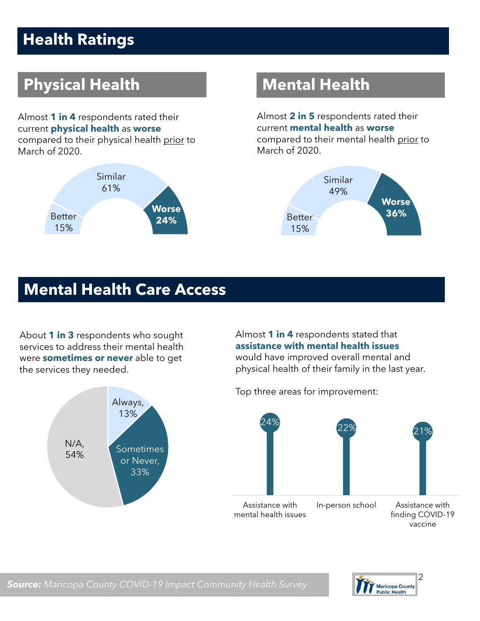## **Health Ratings**

## **Physical Health Mental Health**

Almost **1 in 4** respondents rated their current **physical health** as **worse** compared to their physical health prior to March of 2020.



Almost **2 in 5** respondents rated their current **mental health** as **worse** compared to their mental health prior to March of 2020.



#### **Mental Health Care Access**

About **1 in 3** respondents who sought services to address their mental health were **sometimes or never** able to get the services they needed.



Almost **1 in 4** respondents stated that **assistance with mental health issues**  would have improved overall mental and physical health of their family in the last year.

Top three areas for improvement:





*Source: Maricopa County COVID-19 Impact Community Health Survey*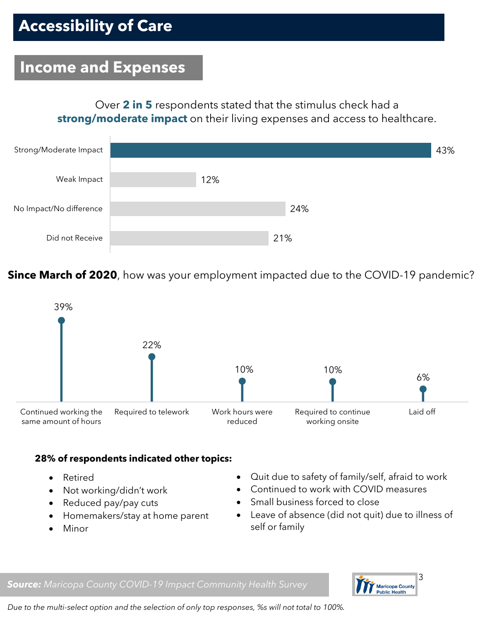#### **Income and Expenses**

Over **2 in 5** respondents stated that the stimulus check had a **strong/moderate impact** on their living expenses and access to healthcare.



**Since March of 2020**, how was your employment impacted due to the COVID-19 pandemic?



#### **28% of respondents indicated other topics:**

- Retired
- Not working/didn't work
- Reduced pay/pay cuts
- Homemakers/stay at home parent
- Minor
- Quit due to safety of family/self, afraid to work
- Continued to work with COVID measures
- Small business forced to close
- Leave of absence (did not quit) due to illness of self or family





*Due to the multi-select option and the selection of only top responses, %s will not total to 100%.*